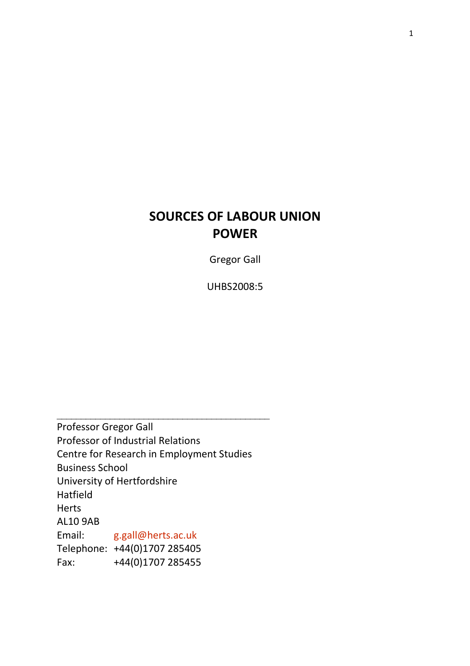# SOURCES OF LABOUR UNION POWER

Gregor Gall

UHBS2008:5

\_\_\_\_\_\_\_\_\_\_\_\_\_\_\_\_\_\_\_\_\_\_\_\_\_\_\_\_\_\_\_\_\_\_\_\_\_\_\_\_\_\_\_\_ Professor Gregor Gall Professor of Industrial Relations Centre for Research in Employment Studies Business School University of Hertfordshire Hatfield Herts AL10 9AB Email: g.gall@herts.ac.uk Telephone: +44(0)1707 285405 Fax: +44(0)1707 285455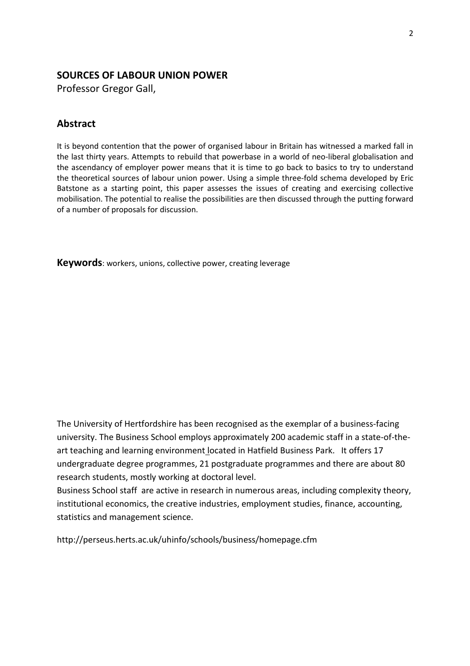# SOURCES OF LABOUR UNION POWER

Professor Gregor Gall,

# Abstract

It is beyond contention that the power of organised labour in Britain has witnessed a marked fall in the last thirty years. Attempts to rebuild that powerbase in a world of neo-liberal globalisation and the ascendancy of employer power means that it is time to go back to basics to try to understand the theoretical sources of labour union power. Using a simple three-fold schema developed by Eric Batstone as a starting point, this paper assesses the issues of creating and exercising collective mobilisation. The potential to realise the possibilities are then discussed through the putting forward of a number of proposals for discussion.

Keywords: workers, unions, collective power, creating leverage

The University of Hertfordshire has been recognised as the exemplar of a business-facing university. The Business School employs approximately 200 academic staff in a state-of-theart teaching and learning environment located in Hatfield Business Park. It offers 17 undergraduate degree programmes, 21 postgraduate programmes and there are about 80 research students, mostly working at doctoral level.

Business School staff are active in research in numerous areas, including complexity theory, institutional economics, the creative industries, employment studies, finance, accounting, statistics and management science.

http://perseus.herts.ac.uk/uhinfo/schools/business/homepage.cfm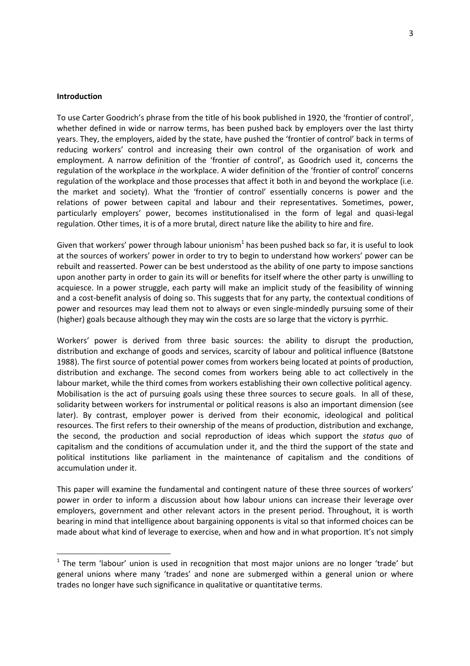#### **Introduction**

 $\overline{a}$ 

To use Carter Goodrich's phrase from the title of his book published in 1920, the 'frontier of control', whether defined in wide or narrow terms, has been pushed back by employers over the last thirty years. They, the employers, aided by the state, have pushed the 'frontier of control' back in terms of reducing workers' control and increasing their own control of the organisation of work and employment. A narrow definition of the 'frontier of control', as Goodrich used it, concerns the regulation of the workplace in the workplace. A wider definition of the 'frontier of control' concerns regulation of the workplace and those processes that affect it both in and beyond the workplace (i.e. the market and society). What the 'frontier of control' essentially concerns is power and the relations of power between capital and labour and their representatives. Sometimes, power, particularly employers' power, becomes institutionalised in the form of legal and quasi-legal regulation. Other times, it is of a more brutal, direct nature like the ability to hire and fire.

Given that workers' power through labour unionism<sup>1</sup> has been pushed back so far, it is useful to look at the sources of workers' power in order to try to begin to understand how workers' power can be rebuilt and reasserted. Power can be best understood as the ability of one party to impose sanctions upon another party in order to gain its will or benefits for itself where the other party is unwilling to acquiesce. In a power struggle, each party will make an implicit study of the feasibility of winning and a cost-benefit analysis of doing so. This suggests that for any party, the contextual conditions of power and resources may lead them not to always or even single-mindedly pursuing some of their (higher) goals because although they may win the costs are so large that the victory is pyrrhic.

Workers' power is derived from three basic sources: the ability to disrupt the production, distribution and exchange of goods and services, scarcity of labour and political influence (Batstone 1988). The first source of potential power comes from workers being located at points of production, distribution and exchange. The second comes from workers being able to act collectively in the labour market, while the third comes from workers establishing their own collective political agency. Mobilisation is the act of pursuing goals using these three sources to secure goals. In all of these, solidarity between workers for instrumental or political reasons is also an important dimension (see later). By contrast, employer power is derived from their economic, ideological and political resources. The first refers to their ownership of the means of production, distribution and exchange, the second, the production and social reproduction of ideas which support the status quo of capitalism and the conditions of accumulation under it, and the third the support of the state and political institutions like parliament in the maintenance of capitalism and the conditions of accumulation under it.

This paper will examine the fundamental and contingent nature of these three sources of workers' power in order to inform a discussion about how labour unions can increase their leverage over employers, government and other relevant actors in the present period. Throughout, it is worth bearing in mind that intelligence about bargaining opponents is vital so that informed choices can be made about what kind of leverage to exercise, when and how and in what proportion. It's not simply

 $1$  The term 'labour' union is used in recognition that most major unions are no longer 'trade' but general unions where many 'trades' and none are submerged within a general union or where trades no longer have such significance in qualitative or quantitative terms.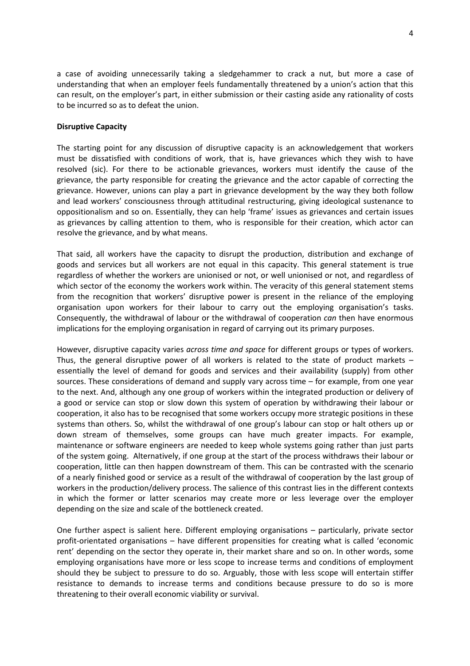a case of avoiding unnecessarily taking a sledgehammer to crack a nut, but more a case of understanding that when an employer feels fundamentally threatened by a union's action that this can result, on the employer's part, in either submission or their casting aside any rationality of costs to be incurred so as to defeat the union.

#### Disruptive Capacity

The starting point for any discussion of disruptive capacity is an acknowledgement that workers must be dissatisfied with conditions of work, that is, have grievances which they wish to have resolved (sic). For there to be actionable grievances, workers must identify the cause of the grievance, the party responsible for creating the grievance and the actor capable of correcting the grievance. However, unions can play a part in grievance development by the way they both follow and lead workers' consciousness through attitudinal restructuring, giving ideological sustenance to oppositionalism and so on. Essentially, they can help 'frame' issues as grievances and certain issues as grievances by calling attention to them, who is responsible for their creation, which actor can resolve the grievance, and by what means.

That said, all workers have the capacity to disrupt the production, distribution and exchange of goods and services but all workers are not equal in this capacity. This general statement is true regardless of whether the workers are unionised or not, or well unionised or not, and regardless of which sector of the economy the workers work within. The veracity of this general statement stems from the recognition that workers' disruptive power is present in the reliance of the employing organisation upon workers for their labour to carry out the employing organisation's tasks. Consequently, the withdrawal of labour or the withdrawal of cooperation can then have enormous implications for the employing organisation in regard of carrying out its primary purposes.

However, disruptive capacity varies across time and space for different groups or types of workers. Thus, the general disruptive power of all workers is related to the state of product markets  $$ essentially the level of demand for goods and services and their availability (supply) from other sources. These considerations of demand and supply vary across time – for example, from one year to the next. And, although any one group of workers within the integrated production or delivery of a good or service can stop or slow down this system of operation by withdrawing their labour or cooperation, it also has to be recognised that some workers occupy more strategic positions in these systems than others. So, whilst the withdrawal of one group's labour can stop or halt others up or down stream of themselves, some groups can have much greater impacts. For example, maintenance or software engineers are needed to keep whole systems going rather than just parts of the system going. Alternatively, if one group at the start of the process withdraws their labour or cooperation, little can then happen downstream of them. This can be contrasted with the scenario of a nearly finished good or service as a result of the withdrawal of cooperation by the last group of workers in the production/delivery process. The salience of this contrast lies in the different contexts in which the former or latter scenarios may create more or less leverage over the employer depending on the size and scale of the bottleneck created.

One further aspect is salient here. Different employing organisations – particularly, private sector profit-orientated organisations – have different propensities for creating what is called 'economic rent' depending on the sector they operate in, their market share and so on. In other words, some employing organisations have more or less scope to increase terms and conditions of employment should they be subject to pressure to do so. Arguably, those with less scope will entertain stiffer resistance to demands to increase terms and conditions because pressure to do so is more threatening to their overall economic viability or survival.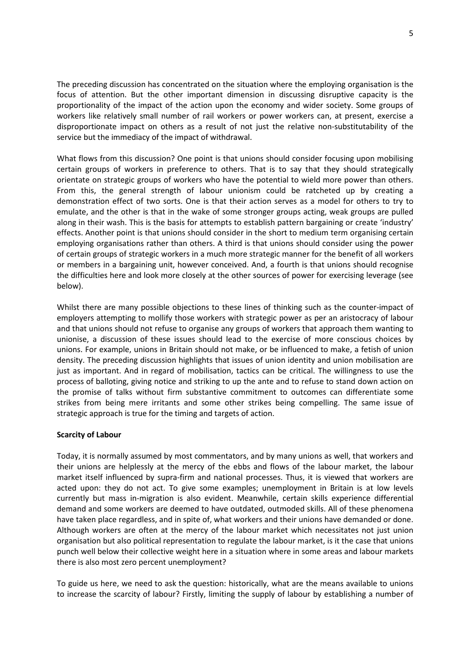The preceding discussion has concentrated on the situation where the employing organisation is the focus of attention. But the other important dimension in discussing disruptive capacity is the proportionality of the impact of the action upon the economy and wider society. Some groups of workers like relatively small number of rail workers or power workers can, at present, exercise a disproportionate impact on others as a result of not just the relative non-substitutability of the service but the immediacy of the impact of withdrawal.

What flows from this discussion? One point is that unions should consider focusing upon mobilising certain groups of workers in preference to others. That is to say that they should strategically orientate on strategic groups of workers who have the potential to wield more power than others. From this, the general strength of labour unionism could be ratcheted up by creating a demonstration effect of two sorts. One is that their action serves as a model for others to try to emulate, and the other is that in the wake of some stronger groups acting, weak groups are pulled along in their wash. This is the basis for attempts to establish pattern bargaining or create 'industry' effects. Another point is that unions should consider in the short to medium term organising certain employing organisations rather than others. A third is that unions should consider using the power of certain groups of strategic workers in a much more strategic manner for the benefit of all workers or members in a bargaining unit, however conceived. And, a fourth is that unions should recognise the difficulties here and look more closely at the other sources of power for exercising leverage (see below).

Whilst there are many possible objections to these lines of thinking such as the counter-impact of employers attempting to mollify those workers with strategic power as per an aristocracy of labour and that unions should not refuse to organise any groups of workers that approach them wanting to unionise, a discussion of these issues should lead to the exercise of more conscious choices by unions. For example, unions in Britain should not make, or be influenced to make, a fetish of union density. The preceding discussion highlights that issues of union identity and union mobilisation are just as important. And in regard of mobilisation, tactics can be critical. The willingness to use the process of balloting, giving notice and striking to up the ante and to refuse to stand down action on the promise of talks without firm substantive commitment to outcomes can differentiate some strikes from being mere irritants and some other strikes being compelling. The same issue of strategic approach is true for the timing and targets of action.

# Scarcity of Labour

Today, it is normally assumed by most commentators, and by many unions as well, that workers and their unions are helplessly at the mercy of the ebbs and flows of the labour market, the labour market itself influenced by supra-firm and national processes. Thus, it is viewed that workers are acted upon: they do not act. To give some examples; unemployment in Britain is at low levels currently but mass in-migration is also evident. Meanwhile, certain skills experience differential demand and some workers are deemed to have outdated, outmoded skills. All of these phenomena have taken place regardless, and in spite of, what workers and their unions have demanded or done. Although workers are often at the mercy of the labour market which necessitates not just union organisation but also political representation to regulate the labour market, is it the case that unions punch well below their collective weight here in a situation where in some areas and labour markets there is also most zero percent unemployment?

To guide us here, we need to ask the question: historically, what are the means available to unions to increase the scarcity of labour? Firstly, limiting the supply of labour by establishing a number of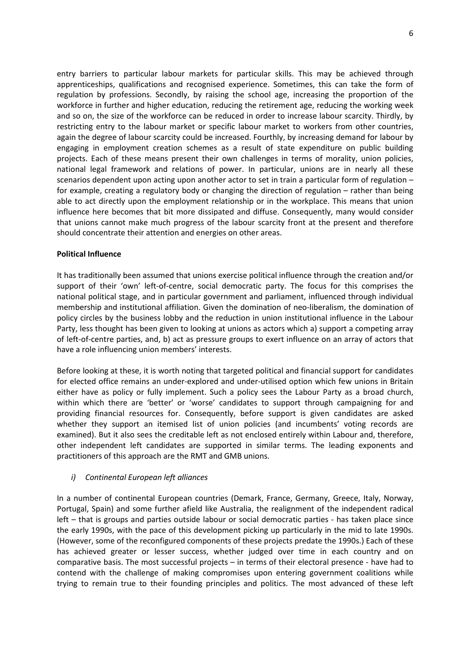entry barriers to particular labour markets for particular skills. This may be achieved through apprenticeships, qualifications and recognised experience. Sometimes, this can take the form of regulation by professions. Secondly, by raising the school age, increasing the proportion of the workforce in further and higher education, reducing the retirement age, reducing the working week and so on, the size of the workforce can be reduced in order to increase labour scarcity. Thirdly, by restricting entry to the labour market or specific labour market to workers from other countries, again the degree of labour scarcity could be increased. Fourthly, by increasing demand for labour by engaging in employment creation schemes as a result of state expenditure on public building projects. Each of these means present their own challenges in terms of morality, union policies, national legal framework and relations of power. In particular, unions are in nearly all these scenarios dependent upon acting upon another actor to set in train a particular form of regulation – for example, creating a regulatory body or changing the direction of regulation – rather than being able to act directly upon the employment relationship or in the workplace. This means that union influence here becomes that bit more dissipated and diffuse. Consequently, many would consider that unions cannot make much progress of the labour scarcity front at the present and therefore should concentrate their attention and energies on other areas.

# Political Influence

It has traditionally been assumed that unions exercise political influence through the creation and/or support of their 'own' left-of-centre, social democratic party. The focus for this comprises the national political stage, and in particular government and parliament, influenced through individual membership and institutional affiliation. Given the domination of neo-liberalism, the domination of policy circles by the business lobby and the reduction in union institutional influence in the Labour Party, less thought has been given to looking at unions as actors which a) support a competing array of left-of-centre parties, and, b) act as pressure groups to exert influence on an array of actors that have a role influencing union members' interests.

Before looking at these, it is worth noting that targeted political and financial support for candidates for elected office remains an under-explored and under-utilised option which few unions in Britain either have as policy or fully implement. Such a policy sees the Labour Party as a broad church, within which there are 'better' or 'worse' candidates to support through campaigning for and providing financial resources for. Consequently, before support is given candidates are asked whether they support an itemised list of union policies (and incumbents' voting records are examined). But it also sees the creditable left as not enclosed entirely within Labour and, therefore, other independent left candidates are supported in similar terms. The leading exponents and practitioners of this approach are the RMT and GMB unions.

# i) Continental European left alliances

In a number of continental European countries (Demark, France, Germany, Greece, Italy, Norway, Portugal, Spain) and some further afield like Australia, the realignment of the independent radical left – that is groups and parties outside labour or social democratic parties - has taken place since the early 1990s, with the pace of this development picking up particularly in the mid to late 1990s. (However, some of the reconfigured components of these projects predate the 1990s.) Each of these has achieved greater or lesser success, whether judged over time in each country and on comparative basis. The most successful projects – in terms of their electoral presence - have had to contend with the challenge of making compromises upon entering government coalitions while trying to remain true to their founding principles and politics. The most advanced of these left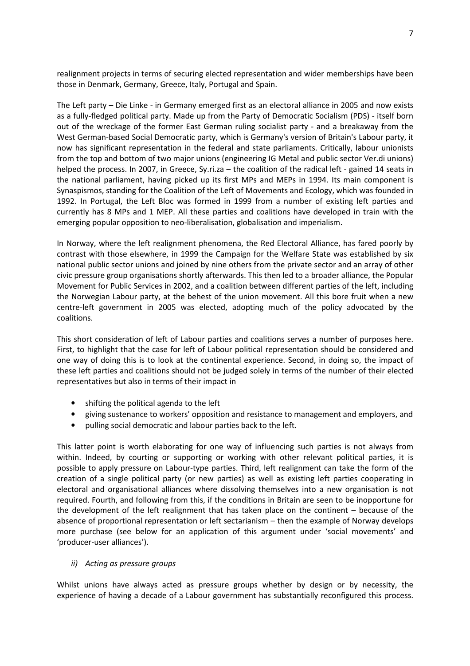realignment projects in terms of securing elected representation and wider memberships have been those in Denmark, Germany, Greece, Italy, Portugal and Spain.

The Left party – Die Linke - in Germany emerged first as an electoral alliance in 2005 and now exists as a fully-fledged political party. Made up from the Party of Democratic Socialism (PDS) - itself born out of the wreckage of the former East German ruling socialist party - and a breakaway from the West German-based Social Democratic party, which is Germany's version of Britain's Labour party, it now has significant representation in the federal and state parliaments. Critically, labour unionists from the top and bottom of two major unions (engineering IG Metal and public sector Ver.di unions) helped the process. In 2007, in Greece, Sy.ri.za – the coalition of the radical left - gained 14 seats in the national parliament, having picked up its first MPs and MEPs in 1994. Its main component is Synaspismos, standing for the Coalition of the Left of Movements and Ecology, which was founded in 1992. In Portugal, the Left Bloc was formed in 1999 from a number of existing left parties and currently has 8 MPs and 1 MEP. All these parties and coalitions have developed in train with the emerging popular opposition to neo-liberalisation, globalisation and imperialism.

In Norway, where the left realignment phenomena, the Red Electoral Alliance, has fared poorly by contrast with those elsewhere, in 1999 the Campaign for the Welfare State was established by six national public sector unions and joined by nine others from the private sector and an array of other civic pressure group organisations shortly afterwards. This then led to a broader alliance, the Popular Movement for Public Services in 2002, and a coalition between different parties of the left, including the Norwegian Labour party, at the behest of the union movement. All this bore fruit when a new centre-left government in 2005 was elected, adopting much of the policy advocated by the coalitions.

This short consideration of left of Labour parties and coalitions serves a number of purposes here. First, to highlight that the case for left of Labour political representation should be considered and one way of doing this is to look at the continental experience. Second, in doing so, the impact of these left parties and coalitions should not be judged solely in terms of the number of their elected representatives but also in terms of their impact in

- shifting the political agenda to the left
- giving sustenance to workers' opposition and resistance to management and employers, and
- pulling social democratic and labour parties back to the left.

This latter point is worth elaborating for one way of influencing such parties is not always from within. Indeed, by courting or supporting or working with other relevant political parties, it is possible to apply pressure on Labour-type parties. Third, left realignment can take the form of the creation of a single political party (or new parties) as well as existing left parties cooperating in electoral and organisational alliances where dissolving themselves into a new organisation is not required. Fourth, and following from this, if the conditions in Britain are seen to be inopportune for the development of the left realignment that has taken place on the continent – because of the absence of proportional representation or left sectarianism – then the example of Norway develops more purchase (see below for an application of this argument under 'social movements' and 'producer-user alliances').

# ii) Acting as pressure groups

Whilst unions have always acted as pressure groups whether by design or by necessity, the experience of having a decade of a Labour government has substantially reconfigured this process.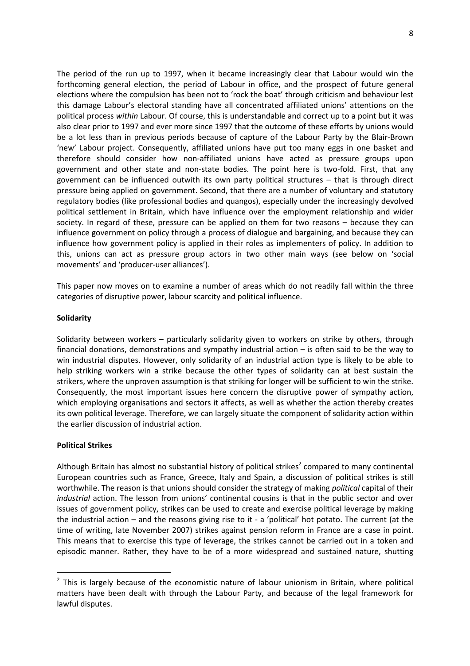The period of the run up to 1997, when it became increasingly clear that Labour would win the forthcoming general election, the period of Labour in office, and the prospect of future general elections where the compulsion has been not to 'rock the boat' through criticism and behaviour lest this damage Labour's electoral standing have all concentrated affiliated unions' attentions on the political process within Labour. Of course, this is understandable and correct up to a point but it was also clear prior to 1997 and ever more since 1997 that the outcome of these efforts by unions would be a lot less than in previous periods because of capture of the Labour Party by the Blair-Brown 'new' Labour project. Consequently, affiliated unions have put too many eggs in one basket and therefore should consider how non-affiliated unions have acted as pressure groups upon government and other state and non-state bodies. The point here is two-fold. First, that any government can be influenced outwith its own party political structures – that is through direct pressure being applied on government. Second, that there are a number of voluntary and statutory regulatory bodies (like professional bodies and quangos), especially under the increasingly devolved political settlement in Britain, which have influence over the employment relationship and wider society. In regard of these, pressure can be applied on them for two reasons – because they can influence government on policy through a process of dialogue and bargaining, and because they can influence how government policy is applied in their roles as implementers of policy. In addition to this, unions can act as pressure group actors in two other main ways (see below on 'social movements' and 'producer-user alliances').

This paper now moves on to examine a number of areas which do not readily fall within the three categories of disruptive power, labour scarcity and political influence.

#### Solidarity

Solidarity between workers – particularly solidarity given to workers on strike by others, through financial donations, demonstrations and sympathy industrial action – is often said to be the way to win industrial disputes. However, only solidarity of an industrial action type is likely to be able to help striking workers win a strike because the other types of solidarity can at best sustain the strikers, where the unproven assumption is that striking for longer will be sufficient to win the strike. Consequently, the most important issues here concern the disruptive power of sympathy action, which employing organisations and sectors it affects, as well as whether the action thereby creates its own political leverage. Therefore, we can largely situate the component of solidarity action within the earlier discussion of industrial action.

#### Political Strikes

 $\overline{a}$ 

Although Britain has almost no substantial history of political strikes<sup>2</sup> compared to many continental European countries such as France, Greece, Italy and Spain, a discussion of political strikes is still worthwhile. The reason is that unions should consider the strategy of making *political* capital of their industrial action. The lesson from unions' continental cousins is that in the public sector and over issues of government policy, strikes can be used to create and exercise political leverage by making the industrial action – and the reasons giving rise to it - a 'political' hot potato. The current (at the time of writing, late November 2007) strikes against pension reform in France are a case in point. This means that to exercise this type of leverage, the strikes cannot be carried out in a token and episodic manner. Rather, they have to be of a more widespread and sustained nature, shutting

 $2$  This is largely because of the economistic nature of labour unionism in Britain, where political matters have been dealt with through the Labour Party, and because of the legal framework for lawful disputes.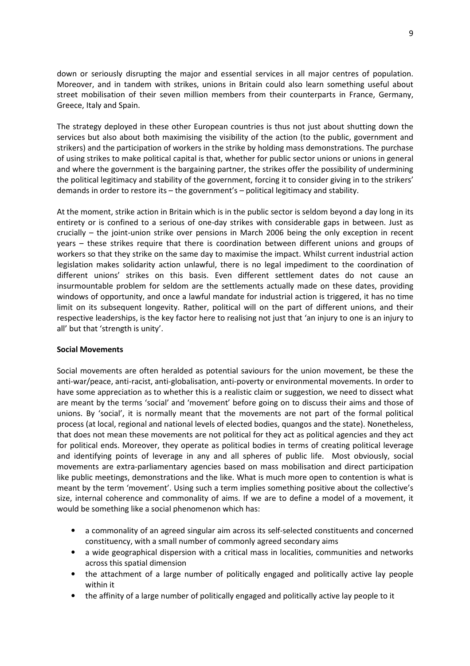down or seriously disrupting the major and essential services in all major centres of population. Moreover, and in tandem with strikes, unions in Britain could also learn something useful about street mobilisation of their seven million members from their counterparts in France, Germany, Greece, Italy and Spain.

The strategy deployed in these other European countries is thus not just about shutting down the services but also about both maximising the visibility of the action (to the public, government and strikers) and the participation of workers in the strike by holding mass demonstrations. The purchase of using strikes to make political capital is that, whether for public sector unions or unions in general and where the government is the bargaining partner, the strikes offer the possibility of undermining the political legitimacy and stability of the government, forcing it to consider giving in to the strikers' demands in order to restore its – the government's – political legitimacy and stability.

At the moment, strike action in Britain which is in the public sector is seldom beyond a day long in its entirety or is confined to a serious of one-day strikes with considerable gaps in between. Just as crucially – the joint-union strike over pensions in March 2006 being the only exception in recent years – these strikes require that there is coordination between different unions and groups of workers so that they strike on the same day to maximise the impact. Whilst current industrial action legislation makes solidarity action unlawful, there is no legal impediment to the coordination of different unions' strikes on this basis. Even different settlement dates do not cause an insurmountable problem for seldom are the settlements actually made on these dates, providing windows of opportunity, and once a lawful mandate for industrial action is triggered, it has no time limit on its subsequent longevity. Rather, political will on the part of different unions, and their respective leaderships, is the key factor here to realising not just that 'an injury to one is an injury to all' but that 'strength is unity'.

#### Social Movements

Social movements are often heralded as potential saviours for the union movement, be these the anti-war/peace, anti-racist, anti-globalisation, anti-poverty or environmental movements. In order to have some appreciation as to whether this is a realistic claim or suggestion, we need to dissect what are meant by the terms 'social' and 'movement' before going on to discuss their aims and those of unions. By 'social', it is normally meant that the movements are not part of the formal political process (at local, regional and national levels of elected bodies, quangos and the state). Nonetheless, that does not mean these movements are not political for they act as political agencies and they act for political ends. Moreover, they operate as political bodies in terms of creating political leverage and identifying points of leverage in any and all spheres of public life. Most obviously, social movements are extra-parliamentary agencies based on mass mobilisation and direct participation like public meetings, demonstrations and the like. What is much more open to contention is what is meant by the term 'movement'. Using such a term implies something positive about the collective's size, internal coherence and commonality of aims. If we are to define a model of a movement, it would be something like a social phenomenon which has:

- a commonality of an agreed singular aim across its self-selected constituents and concerned constituency, with a small number of commonly agreed secondary aims
- a wide geographical dispersion with a critical mass in localities, communities and networks across this spatial dimension
- the attachment of a large number of politically engaged and politically active lay people within it
- the affinity of a large number of politically engaged and politically active lay people to it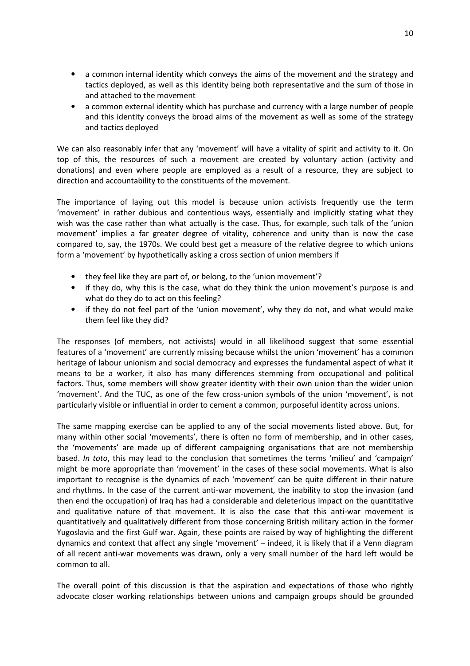- a common internal identity which conveys the aims of the movement and the strategy and tactics deployed, as well as this identity being both representative and the sum of those in and attached to the movement
- a common external identity which has purchase and currency with a large number of people and this identity conveys the broad aims of the movement as well as some of the strategy and tactics deployed

We can also reasonably infer that any 'movement' will have a vitality of spirit and activity to it. On top of this, the resources of such a movement are created by voluntary action (activity and donations) and even where people are employed as a result of a resource, they are subject to direction and accountability to the constituents of the movement.

The importance of laying out this model is because union activists frequently use the term 'movement' in rather dubious and contentious ways, essentially and implicitly stating what they wish was the case rather than what actually is the case. Thus, for example, such talk of the 'union movement' implies a far greater degree of vitality, coherence and unity than is now the case compared to, say, the 1970s. We could best get a measure of the relative degree to which unions form a 'movement' by hypothetically asking a cross section of union members if

- they feel like they are part of, or belong, to the 'union movement'?
- if they do, why this is the case, what do they think the union movement's purpose is and what do they do to act on this feeling?
- if they do not feel part of the 'union movement', why they do not, and what would make them feel like they did?

The responses (of members, not activists) would in all likelihood suggest that some essential features of a 'movement' are currently missing because whilst the union 'movement' has a common heritage of labour unionism and social democracy and expresses the fundamental aspect of what it means to be a worker, it also has many differences stemming from occupational and political factors. Thus, some members will show greater identity with their own union than the wider union 'movement'. And the TUC, as one of the few cross-union symbols of the union 'movement', is not particularly visible or influential in order to cement a common, purposeful identity across unions.

The same mapping exercise can be applied to any of the social movements listed above. But, for many within other social 'movements', there is often no form of membership, and in other cases, the 'movements' are made up of different campaigning organisations that are not membership based. In toto, this may lead to the conclusion that sometimes the terms 'milieu' and 'campaign' might be more appropriate than 'movement' in the cases of these social movements. What is also important to recognise is the dynamics of each 'movement' can be quite different in their nature and rhythms. In the case of the current anti-war movement, the inability to stop the invasion (and then end the occupation) of Iraq has had a considerable and deleterious impact on the quantitative and qualitative nature of that movement. It is also the case that this anti-war movement is quantitatively and qualitatively different from those concerning British military action in the former Yugoslavia and the first Gulf war. Again, these points are raised by way of highlighting the different dynamics and context that affect any single 'movement' – indeed, it is likely that if a Venn diagram of all recent anti-war movements was drawn, only a very small number of the hard left would be common to all.

The overall point of this discussion is that the aspiration and expectations of those who rightly advocate closer working relationships between unions and campaign groups should be grounded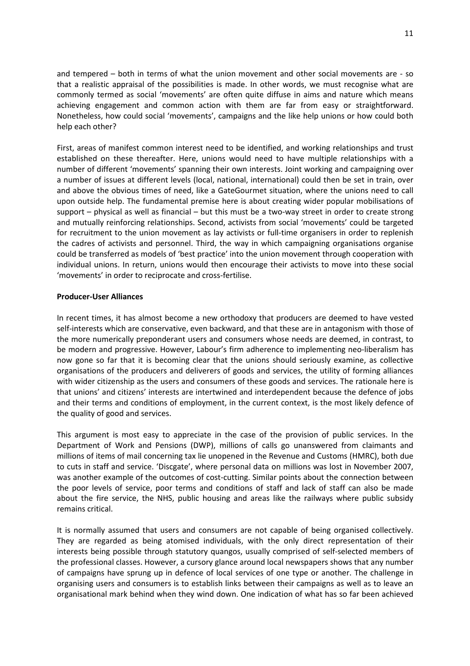and tempered – both in terms of what the union movement and other social movements are - so that a realistic appraisal of the possibilities is made. In other words, we must recognise what are commonly termed as social 'movements' are often quite diffuse in aims and nature which means achieving engagement and common action with them are far from easy or straightforward. Nonetheless, how could social 'movements', campaigns and the like help unions or how could both help each other?

First, areas of manifest common interest need to be identified, and working relationships and trust established on these thereafter. Here, unions would need to have multiple relationships with a number of different 'movements' spanning their own interests. Joint working and campaigning over a number of issues at different levels (local, national, international) could then be set in train, over and above the obvious times of need, like a GateGourmet situation, where the unions need to call upon outside help. The fundamental premise here is about creating wider popular mobilisations of support – physical as well as financial – but this must be a two-way street in order to create strong and mutually reinforcing relationships. Second, activists from social 'movements' could be targeted for recruitment to the union movement as lay activists or full-time organisers in order to replenish the cadres of activists and personnel. Third, the way in which campaigning organisations organise could be transferred as models of 'best practice' into the union movement through cooperation with individual unions. In return, unions would then encourage their activists to move into these social 'movements' in order to reciprocate and cross-fertilise.

#### Producer-User Alliances

In recent times, it has almost become a new orthodoxy that producers are deemed to have vested self-interests which are conservative, even backward, and that these are in antagonism with those of the more numerically preponderant users and consumers whose needs are deemed, in contrast, to be modern and progressive. However, Labour's firm adherence to implementing neo-liberalism has now gone so far that it is becoming clear that the unions should seriously examine, as collective organisations of the producers and deliverers of goods and services, the utility of forming alliances with wider citizenship as the users and consumers of these goods and services. The rationale here is that unions' and citizens' interests are intertwined and interdependent because the defence of jobs and their terms and conditions of employment, in the current context, is the most likely defence of the quality of good and services.

This argument is most easy to appreciate in the case of the provision of public services. In the Department of Work and Pensions (DWP), millions of calls go unanswered from claimants and millions of items of mail concerning tax lie unopened in the Revenue and Customs (HMRC), both due to cuts in staff and service. 'Discgate', where personal data on millions was lost in November 2007, was another example of the outcomes of cost-cutting. Similar points about the connection between the poor levels of service, poor terms and conditions of staff and lack of staff can also be made about the fire service, the NHS, public housing and areas like the railways where public subsidy remains critical.

It is normally assumed that users and consumers are not capable of being organised collectively. They are regarded as being atomised individuals, with the only direct representation of their interests being possible through statutory quangos, usually comprised of self-selected members of the professional classes. However, a cursory glance around local newspapers shows that any number of campaigns have sprung up in defence of local services of one type or another. The challenge in organising users and consumers is to establish links between their campaigns as well as to leave an organisational mark behind when they wind down. One indication of what has so far been achieved